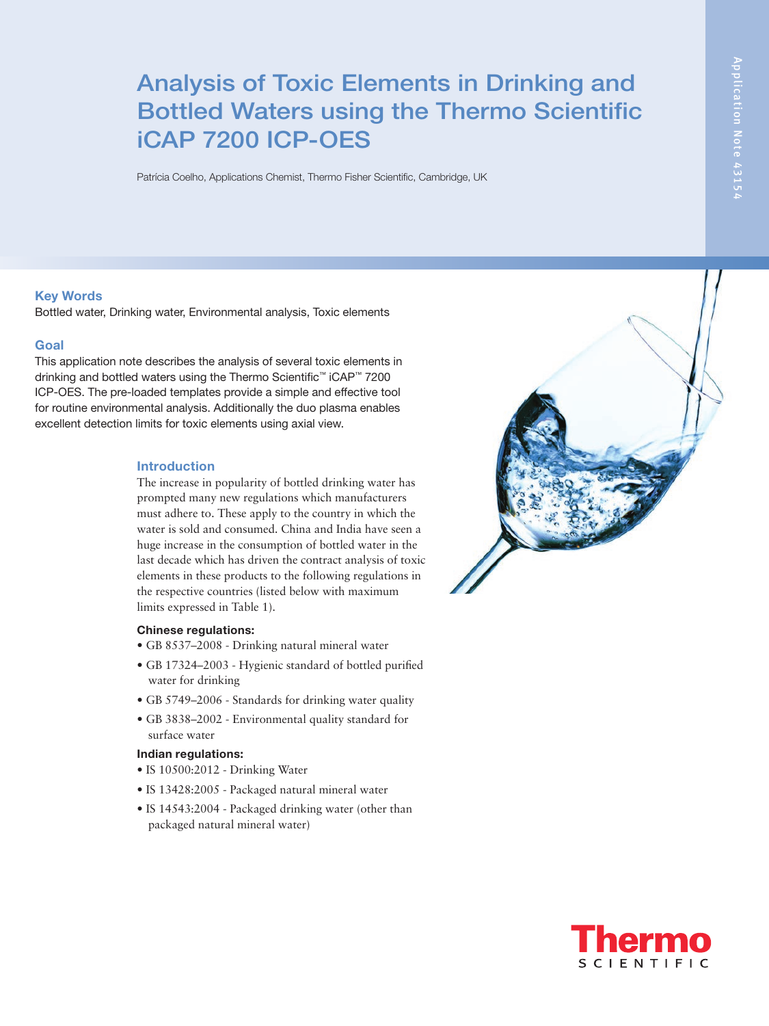# Analysis of Toxic Elements in Drinking and Bottled Waters using the Thermo Scientific iCAP 7200 ICP-OES

Patrícia Coelho, Applications Chemist, Thermo Fisher Scientific, Cambridge, UK

#### Key Words

Bottled water, Drinking water, Environmental analysis, Toxic elements

#### Goal

This application note describes the analysis of several toxic elements in drinking and bottled waters using the Thermo Scientific™ iCAP™ 7200 ICP-OES. The pre-loaded templates provide a simple and effective tool for routine environmental analysis. Additionally the duo plasma enables excellent detection limits for toxic elements using axial view.

#### Introduction

The increase in popularity of bottled drinking water has prompted many new regulations which manufacturers must adhere to. These apply to the country in which the water is sold and consumed. China and India have seen a huge increase in the consumption of bottled water in the last decade which has driven the contract analysis of toxic elements in these products to the following regulations in the respective countries (listed below with maximum limits expressed in Table 1).

#### Chinese regulations:

- GB 8537–2008 Drinking natural mineral water
- GB 17324–2003 Hygienic standard of bottled purified water for drinking
- GB 5749–2006 Standards for drinking water quality
- GB 3838–2002 Environmental quality standard for surface water

### Indian regulations:

- IS 10500:2012 Drinking Water
- IS 13428:2005 Packaged natural mineral water
- IS 14543:2004 Packaged drinking water (other than packaged natural mineral water)



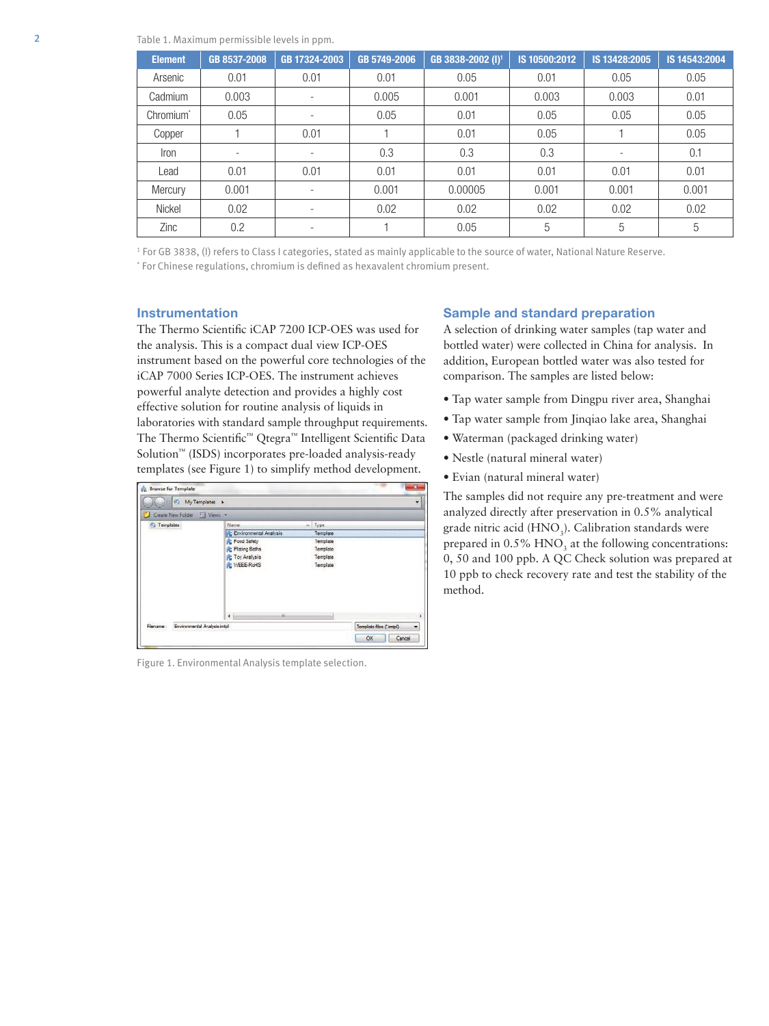| <b>Element</b>        | GB 8537-2008             | GB 17324-2003            | GB 5749-2006 | GB 3838-2002 (I) <sup>1</sup> | IS 10500:2012 | IS 13428:2005            | IS 14543:2004 |
|-----------------------|--------------------------|--------------------------|--------------|-------------------------------|---------------|--------------------------|---------------|
| Arsenic               | 0.01                     | 0.01                     | 0.01         | 0.05                          | 0.01          | 0.05                     | 0.05          |
| Cadmium               | 0.003                    |                          | 0.005        | 0.001                         | 0.003         | 0.003                    | 0.01          |
| Chromium <sup>*</sup> | 0.05                     |                          | 0.05         | 0.01                          | 0.05          | 0.05                     | 0.05          |
| Copper                |                          | 0.01                     |              | 0.01                          | 0.05          |                          | 0.05          |
| Iron                  | $\overline{\phantom{a}}$ |                          | 0.3          | 0.3                           | 0.3           | $\overline{\phantom{a}}$ | 0.1           |
| Lead                  | 0.01                     | 0.01                     | 0.01         | 0.01                          | 0.01          | 0.01                     | 0.01          |
| Mercury               | 0.001                    |                          | 0.001        | 0.00005                       | 0.001         | 0.001                    | 0.001         |
| Nickel                | 0.02                     | $\overline{\phantom{a}}$ | 0.02         | 0.02                          | 0.02          | 0.02                     | 0.02          |
| Zinc                  | 0.2                      |                          |              | 0.05                          | 5             | 5                        | 5             |

1 For GB 3838, (I) refers to Class I categories, stated as mainly applicable to the source of water, National Nature Reserve. \* For Chinese regulations, chromium is defined as hexavalent chromium present.

#### Instrumentation

The Thermo Scientific iCAP 7200 ICP-OES was used for the analysis. This is a compact dual view ICP-OES instrument based on the powerful core technologies of the iCAP 7000 Series ICP-OES. The instrument achieves powerful analyte detection and provides a highly cost effective solution for routine analysis of liquids in laboratories with standard sample throughput requirements. The Thermo Scientific™ Qtegra™ Intelligent Scientific Data Solution™ (ISDS) incorporates pre-loaded analysis-ready templates (see Figure 1) to simplify method development.

| Create New Folder [1] Views . |                        |           |  |
|-------------------------------|------------------------|-----------|--|
| <b>C</b> Templates            | Name.                  | Type<br>ä |  |
|                               | Environmental Analysis | Template  |  |
|                               | <b>Food Safety</b>     | Template  |  |
|                               | <b>Plating Baths</b>   | Template  |  |
|                               | <b>R</b> Toy Analysis  | Template  |  |
|                               | <b>NE WEEE-ROHS</b>    | Template  |  |
|                               | $\leftarrow$           |           |  |

Figure 1. Environmental Analysis template selection.

### Sample and standard preparation

A selection of drinking water samples (tap water and bottled water) were collected in China for analysis. In addition, European bottled water was also tested for comparison. The samples are listed below:

- Tap water sample from Dingpu river area, Shanghai
- Tap water sample from Jinqiao lake area, Shanghai
- Waterman (packaged drinking water)
- Nestle (natural mineral water)
- Evian (natural mineral water)

The samples did not require any pre-treatment and were analyzed directly after preservation in 0.5% analytical grade nitric acid (HNO<sub>3</sub>). Calibration standards were prepared in  $0.5\%$  HNO<sub>3</sub> at the following concentrations: 0, 50 and 100 ppb. A QC Check solution was prepared at 10 ppb to check recovery rate and test the stability of the method.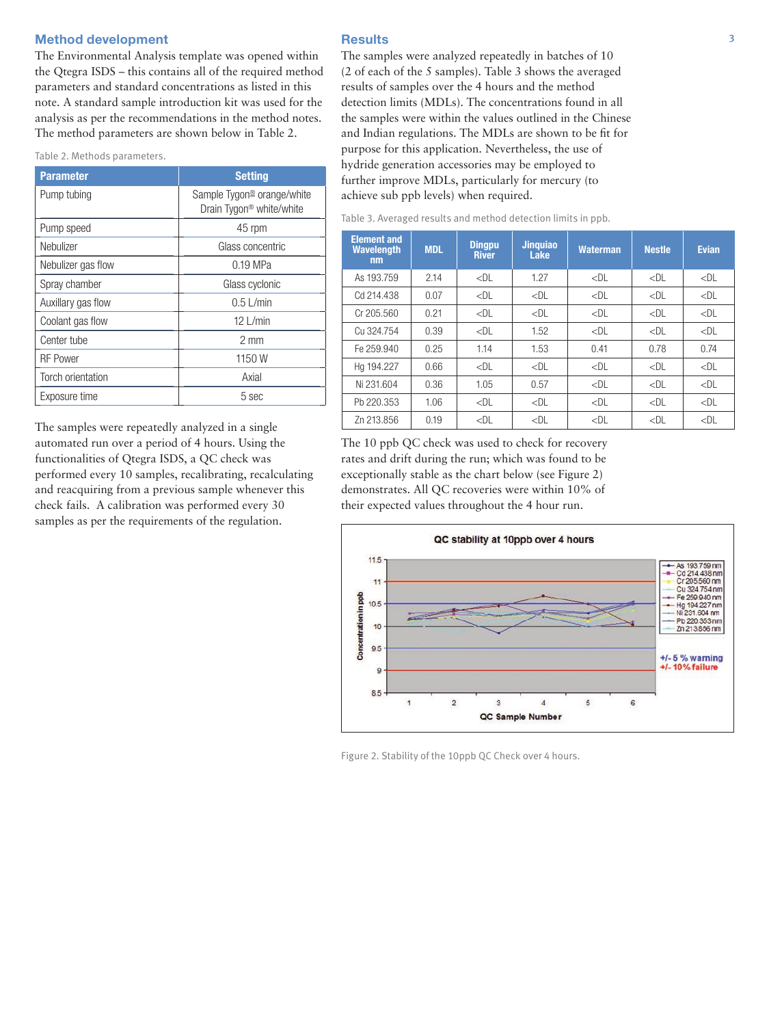## Method development and the second control of the Results of the second state  $\frac{3}{4}$

The Environmental Analysis template was opened within the Qtegra ISDS – this contains all of the required method parameters and standard concentrations as listed in this note. A standard sample introduction kit was used for the analysis as per the recommendations in the method notes. The method parameters are shown below in Table 2.

Table 2. Methods parameters.

| <b>Parameter</b>   | <b>Setting</b>                                                                 |
|--------------------|--------------------------------------------------------------------------------|
| Pump tubing        | Sample Tygon <sup>®</sup> orange/white<br>Drain Tygon <sup>®</sup> white/white |
| Pump speed         | 45 rpm                                                                         |
| Nebulizer          | Glass concentric                                                               |
| Nebulizer gas flow | $0.19$ MPa                                                                     |
| Spray chamber      | Glass cyclonic                                                                 |
| Auxillary gas flow | $0.5$ L/min                                                                    |
| Coolant gas flow   | $12$ L/min                                                                     |
| Center tube        | $2 \text{ mm}$                                                                 |
| <b>RF Power</b>    | 1150 W                                                                         |
| Torch orientation  | Axial                                                                          |
| Exposure time      | 5 sec                                                                          |

The samples were repeatedly analyzed in a single automated run over a period of 4 hours. Using the functionalities of Qtegra ISDS, a QC check was performed every 10 samples, recalibrating, recalculating and reacquiring from a previous sample whenever this check fails. A calibration was performed every 30 samples as per the requirements of the regulation.

#### **Results**

The samples were analyzed repeatedly in batches of 10 (2 of each of the 5 samples). Table 3 shows the averaged results of samples over the 4 hours and the method detection limits (MDLs). The concentrations found in all the samples were within the values outlined in the Chinese and Indian regulations. The MDLs are shown to be fit for purpose for this application. Nevertheless, the use of hydride generation accessories may be employed to further improve MDLs, particularly for mercury (to achieve sub ppb levels) when required.

| Table 3. Averaged results and method detection limits in ppb. |  |  |  |  |  |  |
|---------------------------------------------------------------|--|--|--|--|--|--|
|---------------------------------------------------------------|--|--|--|--|--|--|

| <b>Element and</b><br><b>Wavelength</b><br>nm | <b>MDL</b> | <b>Dingpu</b><br><b>River</b> | <b>Jinquiao</b><br>Lake | <b>Waterman</b> | <b>Nestle</b> | <b>Evian</b> |
|-----------------------------------------------|------------|-------------------------------|-------------------------|-----------------|---------------|--------------|
| As 193.759                                    | 2.14       | $<$ DL                        | 1.27                    | $<$ DL          | $<$ DL        | $<$ DL       |
| Cd 214.438                                    | 0.07       | $<$ DL                        | $<$ DL                  | $<$ DL          | $<$ DL        | $<$ DL       |
| Cr 205.560                                    | 0.21       | $<$ DL                        | $<$ DL                  | $<$ DL          | $<$ DL        | $<$ DL       |
| Cu 324.754                                    | 0.39       | $<$ DL                        | 1.52                    | $<$ DL          | $<$ DL        | $<$ DL       |
| Fe 259.940                                    | 0.25       | 1.14                          | 1.53                    | 0.41            | 0.78          | 0.74         |
| Ha 194.227                                    | 0.66       | $<$ DL                        | $<$ DL                  | $<$ DL          | $<$ DL        | $<$ DL       |
| Ni 231.604                                    | 0.36       | 1.05                          | 0.57                    | $<$ DL          | $<$ DL        | $<$ DL       |
| Ph 220.353                                    | 1.06       | $<$ DL                        | $<$ DL                  | $<$ DL          | $<$ DL        | $<$ DL       |
| Zn 213.856                                    | 0.19       | $<$ DL                        | $<$ DL                  | $<$ DL          | $<$ DL        | $<$ DL       |

The 10 ppb QC check was used to check for recovery rates and drift during the run; which was found to be exceptionally stable as the chart below (see Figure 2) demonstrates. All QC recoveries were within 10% of their expected values throughout the 4 hour run.



Figure 2. Stability of the 10ppb QC Check over 4 hours.